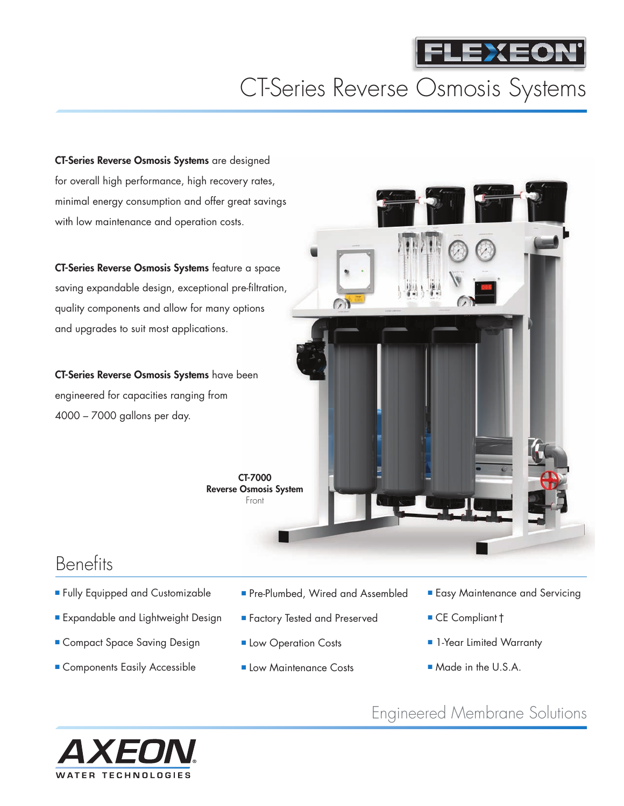

# CT-Series Reverse Osmosis Systems

**CT-Series Reverse Osmosis Systems** are designed for overall high performance, high recovery rates, minimal energy consumption and offer great savings with low maintenance and operation costs.

**CT-Series Reverse Osmosis Systems** feature a space saving expandable design, exceptional pre-filtration, quality components and allow for many options and upgrades to suit most applications.

**CT-Series Reverse Osmosis Systems** have been engineered for capacities ranging from 4000 – 7000 gallons per day.

> **CT-7000 Reverse Osmosis System** Front



#### **Benefits**

- Fully Equipped and Customizable
- **■** Expandable and Lightweight Design
- **■** Compact Space Saving Design
- **■** Components Easily Accessible
- Pre-Plumbed, Wired and Assembled
- **■** Factory Tested and Preserved
- Low Operation Costs
- Low Maintenance Costs
- **■** Easy Maintenance and Servicing
- **■** CE Compliant†
- **■** 1-Year Limited Warranty
- **■** Made in the U.S.A.

Engineered Membrane Solutions

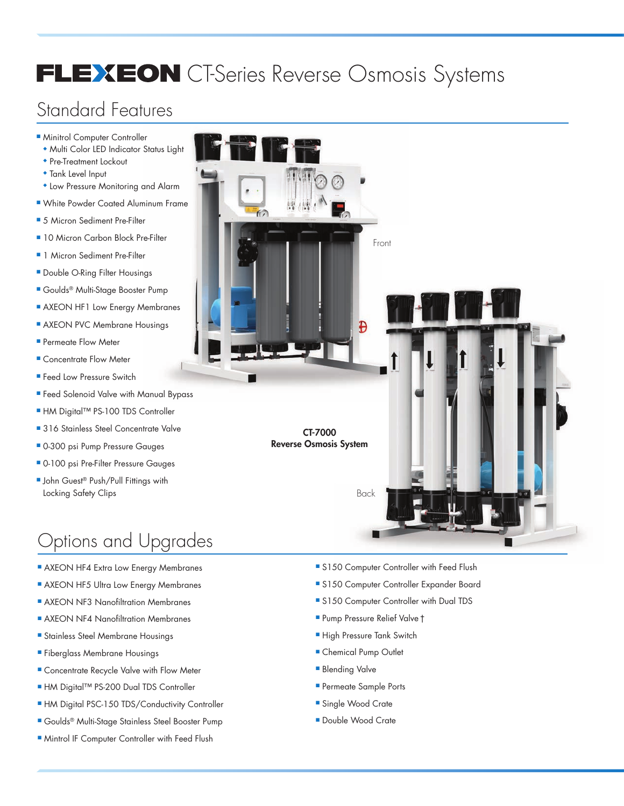# FLEXEON CT-Series Reverse Osmosis Systems

## Standard Features

- **■** Minitrol Computer Controller
	- **◆** Multi Color LED Indicator Status Light
	- **◆** Pre-Treatment Lockout
	- **◆** Tank Level Input
	- **◆** Low Pressure Monitoring and Alarm
- **■** White Powder Coated Aluminum Frame
- 5 Micron Sediment Pre-Filter
- 10 Micron Carbon Block Pre-Filter
- 1 Micron Sediment Pre-Filter
- **■** Double O-Ring Filter Housings
- **■** Goulds® Multi-Stage Booster Pump
- **■** AXEON HF1 Low Energy Membranes
- **■** AXEON PVC Membrane Housings
- **■** Permeate Flow Meter
- **■** Concentrate Flow Meter
- **■** Feed Low Pressure Switch
- Feed Solenoid Valve with Manual Bypass
- **■** HM Digital™ PS-100 TDS Controller
- 316 Stainless Steel Concentrate Valve
- **■** 0-300 psi Pump Pressure Gauges
- **■** 0-100 psi Pre-Filter Pressure Gauges
- John Guest<sup>®</sup> Push/Pull Fittings with Locking Safety Clips

# Options and Upgrades

- AXEON HF4 Extra Low Energy Membranes
- AXEON HF5 Ultra Low Energy Membranes
- AXEON NF3 Nanofiltration Membranes
- **AXEON NF4 Nanofiltration Membranes**
- **■** Stainless Steel Membrane Housings
- **■** Fiberglass Membrane Housings
- **■** Concentrate Recycle Valve with Flow Meter
- **■** HM Digital™ PS-200 Dual TDS Controller
- **■** HM Digital PSC-150 TDS/Conductivity Controller
- **■** Goulds® Multi-Stage Stainless Steel Booster Pump
- **■** Mintrol IF Computer Controller with Feed Flush



- S150 Computer Controller with Feed Flush
- S150 Computer Controller Expander Board
- **■** S150 Computer Controller with Dual TDS
- **■** Pump Pressure Relief Valve†
- **■** High Pressure Tank Switch
- **■** Chemical Pump Outlet
- **Blending Valve**
- **■** Permeate Sample Ports
- Single Wood Crate
- **■** Double Wood Crate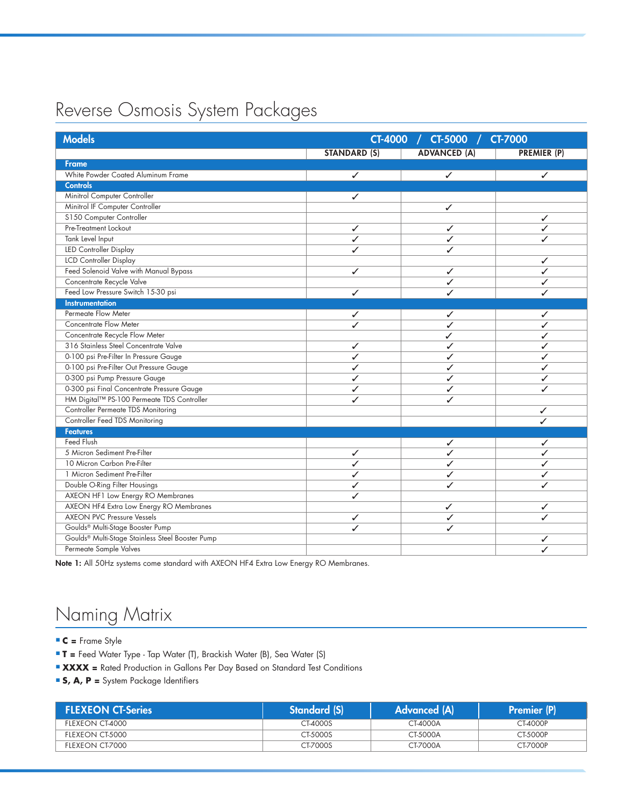## Reverse Osmosis System Packages

| <b>Models</b>                                                | CT-4000 /<br><b>CT-5000</b><br><b>CT-7000</b> |                     |                    |
|--------------------------------------------------------------|-----------------------------------------------|---------------------|--------------------|
|                                                              | <b>STANDARD (S)</b>                           | <b>ADVANCED (A)</b> | <b>PREMIER (P)</b> |
| <b>Frame</b>                                                 |                                               |                     |                    |
| White Powder Coated Aluminum Frame                           | $\checkmark$                                  | $\checkmark$        | ✓                  |
| <b>Controls</b>                                              |                                               |                     |                    |
| Minitrol Computer Controller                                 | ✓                                             |                     |                    |
| Minitrol IF Computer Controller                              |                                               | ✓                   |                    |
| S150 Computer Controller                                     |                                               |                     | ✓                  |
| Pre-Treatment Lockout                                        | ✓                                             | ✓                   | ✓                  |
| Tank Level Input                                             | ✓                                             | ✓                   | ✓                  |
| LED Controller Display                                       | ✓                                             | ✓                   |                    |
| <b>LCD Controller Display</b>                                |                                               |                     | ✓                  |
| Feed Solenoid Valve with Manual Bypass                       | ✓                                             | ✓                   | ✓                  |
| Concentrate Recycle Valve                                    |                                               | ✓                   | ✓                  |
| Feed Low Pressure Switch 15-30 psi                           | ✓                                             | ./                  |                    |
| <b>Instrumentation</b>                                       |                                               |                     |                    |
| Permeate Flow Meter                                          | ✓                                             | ✓                   | ✓                  |
| <b>Concentrate Flow Meter</b>                                | ✓                                             | ✓                   | ✓                  |
| Concentrate Recycle Flow Meter                               |                                               | ✓                   | ✓                  |
| 316 Stainless Steel Concentrate Valve                        | ✓                                             | ✓                   | ✓                  |
| 0-100 psi Pre-Filter In Pressure Gauge                       | ✓                                             | ✓                   | ✓                  |
| 0-100 psi Pre-Filter Out Pressure Gauge                      | ✓                                             | ✓                   | ✓                  |
| 0-300 psi Pump Pressure Gauge                                | ✓                                             | ✓                   | ✓                  |
| 0-300 psi Final Concentrate Pressure Gauge                   | ✓                                             | ✓                   | ✓                  |
| HM Digital™ PS-100 Permeate TDS Controller                   | ✓                                             | ✓                   |                    |
| Controller Permeate TDS Monitoring                           |                                               |                     | ✓                  |
| Controller Feed TDS Monitoring                               |                                               |                     | ✓                  |
| <b>Features</b>                                              |                                               |                     |                    |
| <b>Feed Flush</b>                                            |                                               | ✓                   | ✓                  |
| 5 Micron Sediment Pre-Filter                                 | ✓                                             | ✓                   | ✓                  |
| 10 Micron Carbon Pre-Filter                                  | ✓                                             | ✓                   | ✓                  |
| 1 Micron Sediment Pre-Filter                                 | ✓                                             | ✓                   |                    |
| Double O-Ring Filter Housings                                | ✓                                             | ✓                   | ✓                  |
| AXEON HF1 Low Energy RO Membranes                            | ✓                                             |                     |                    |
| AXEON HF4 Extra Low Energy RO Membranes                      |                                               | ✓                   | ✓                  |
| <b>AXEON PVC Pressure Vessels</b>                            | ✓                                             | ✓                   |                    |
| Goulds <sup>®</sup> Multi-Stage Booster Pump                 | ✓                                             | ✓                   |                    |
| Goulds <sup>®</sup> Multi-Stage Stainless Steel Booster Pump |                                               |                     | ✓                  |
| Permeate Sample Valves                                       |                                               |                     |                    |

**Note 1:** All 50Hz systems come standard with AXEON HF4 Extra Low Energy RO Membranes.

# Naming Matrix

**■ C =** Frame Style

- **■ T =** Feed Water Type Tap Water (T), Brackish Water (B), Sea Water (S)
- **■ XXXX =** Rated Production in Gallons Per Day Based on Standard Test Conditions
- **■ S, A, P =** System Package Identifiers

| <b>FLEXEON CT-Series</b> | Standard (S) | Advanced (A) | <b>Premier (P)</b> |
|--------------------------|--------------|--------------|--------------------|
| FLEXEON CT-4000          | CT-4000S     | CT-4000A     | CT-4000P           |
| FLEXEON CT-5000          | CT-5000S     | CT-5000A     | CT-5000P           |
| FLEXEON CT-7000          | CT-7000S     | CT-7000A     | <b>CT-7000P</b>    |